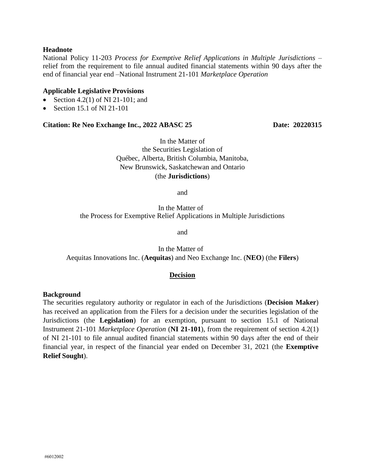### **Headnote**

National Policy 11-203 *Process for Exemptive Relief Applications in Multiple Jurisdictions* – relief from the requirement to file annual audited financial statements within 90 days after the end of financial year end –National Instrument 21-101 *Marketplace Operation*

#### **Applicable Legislative Provisions**

- Section 4.2(1) of NI 21-101; and
- $\bullet$  Section 15.1 of NI 21-101

### **Citation: Re Neo Exchange Inc., 2022 ABASC 25 Date: 20220315**

In the Matter of the Securities Legislation of Québec, Alberta, British Columbia, Manitoba, New Brunswick, Saskatchewan and Ontario (the **Jurisdictions**)

and

In the Matter of the Process for Exemptive Relief Applications in Multiple Jurisdictions

and

In the Matter of Aequitas Innovations Inc. (**Aequitas**) and Neo Exchange Inc. (**NEO**) (the **Filers**)

#### **Decision**

#### **Background**

The securities regulatory authority or regulator in each of the Jurisdictions (**Decision Maker**) has received an application from the Filers for a decision under the securities legislation of the Jurisdictions (the **Legislation**) for an exemption, pursuant to section 15.1 of National Instrument 21-101 *Marketplace Operation* (**NI 21-101**), from the requirement of section 4.2(1) of NI 21-101 to file annual audited financial statements within 90 days after the end of their financial year, in respect of the financial year ended on December 31, 2021 (the **Exemptive Relief Sought**).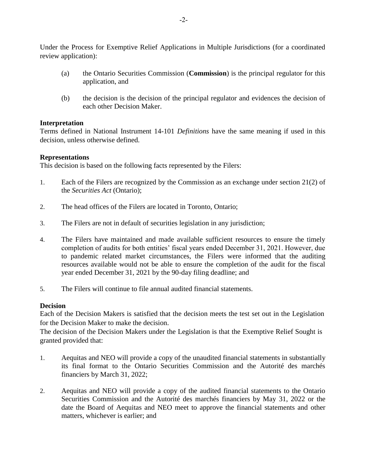Under the Process for Exemptive Relief Applications in Multiple Jurisdictions (for a coordinated review application):

- (a) the Ontario Securities Commission (**Commission**) is the principal regulator for this application, and
- (b) the decision is the decision of the principal regulator and evidences the decision of each other Decision Maker.

# **Interpretation**

Terms defined in National Instrument 14-101 *Definitions* have the same meaning if used in this decision, unless otherwise defined.

# **Representations**

This decision is based on the following facts represented by the Filers:

- 1. Each of the Filers are recognized by the Commission as an exchange under section 21(2) of the *Securities Act* (Ontario);
- 2. The head offices of the Filers are located in Toronto, Ontario;
- 3. The Filers are not in default of securities legislation in any jurisdiction;
- 4. The Filers have maintained and made available sufficient resources to ensure the timely completion of audits for both entities' fiscal years ended December 31, 2021. However, due to pandemic related market circumstances, the Filers were informed that the auditing resources available would not be able to ensure the completion of the audit for the fiscal year ended December 31, 2021 by the 90-day filing deadline; and
- 5. The Filers will continue to file annual audited financial statements.

## **Decision**

Each of the Decision Makers is satisfied that the decision meets the test set out in the Legislation for the Decision Maker to make the decision.

The decision of the Decision Makers under the Legislation is that the Exemptive Relief Sought is granted provided that:

- 1. Aequitas and NEO will provide a copy of the unaudited financial statements in substantially its final format to the Ontario Securities Commission and the Autorité des marchés financiers by March 31, 2022;
- 2. Aequitas and NEO will provide a copy of the audited financial statements to the Ontario Securities Commission and the Autorité des marchés financiers by May 31, 2022 or the date the Board of Aequitas and NEO meet to approve the financial statements and other matters, whichever is earlier; and